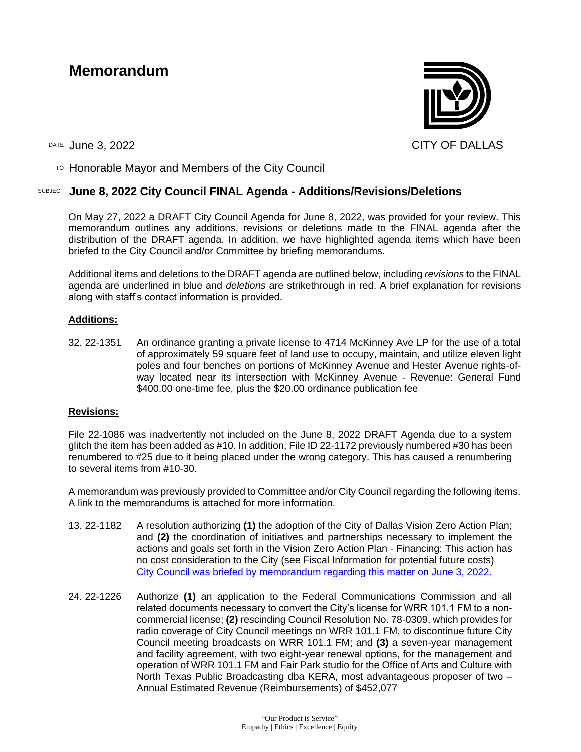# **Memorandum**



 $T$ <sup>O</sup> Honorable Mayor and Members of the City Council

# SUBJECT **June 8, 2022 City Council FINAL Agenda - Additions/Revisions/Deletions**

On May 27, 2022 a DRAFT City Council Agenda for June 8, 2022, was provided for your review. This memorandum outlines any additions, revisions or deletions made to the FINAL agenda after the distribution of the DRAFT agenda. In addition, we have highlighted agenda items which have been briefed to the City Council and/or Committee by briefing memorandums.

Additional items and deletions to the DRAFT agenda are outlined below, including *revisions* to the FINAL agenda are underlined in blue and *deletions* are strikethrough in red. A brief explanation for revisions along with staff's contact information is provided.

## **Additions:**

32. 22-1351 An ordinance granting a private license to 4714 McKinney Ave LP for the use of a total of approximately 59 square feet of land use to occupy, maintain, and utilize eleven light poles and four benches on portions of McKinney Avenue and Hester Avenue rights-ofway located near its intersection with McKinney Avenue - Revenue: General Fund \$400.00 one-time fee, plus the \$20.00 ordinance publication fee

#### **Revisions:**

File 22-1086 was inadvertently not included on the June 8, 2022 DRAFT Agenda due to a system glitch the item has been added as #10. In addition, File ID 22-1172 previously numbered #30 has been renumbered to #25 due to it being placed under the wrong category. This has caused a renumbering to several items from #10-30.

A memorandum was previously provided to Committee and/or City Council regarding the following items. A link to the memorandums is attached for more information.

- 13. 22-1182 A resolution authorizing **(1)** the adoption of the City of Dallas Vision Zero Action Plan; and **(2)** the coordination of initiatives and partnerships necessary to implement the actions and goals set forth in the Vision Zero Action Plan - Financing: This action has no cost consideration to the City (see Fiscal Information for potential future costs) [City Council was briefed by memorandum regarding this matter on June 3, 2022.](https://dallascityhall.com/government/citymanager/Documents/FY%2021-22%20Memos/Vision-Zero-Action-Plan_06.03.22_V3%20(002).pdf)
- 24. 22-1226 Authorize **(1)** an application to the Federal Communications Commission and all related documents necessary to convert the City's license for WRR 101.1 FM to a noncommercial license; **(2)** rescinding Council Resolution No. 78-0309, which provides for radio coverage of City Council meetings on WRR 101.1 FM, to discontinue future City Council meeting broadcasts on WRR 101.1 FM; and **(3)** a seven-year management and facility agreement, with two eight-year renewal options, for the management and operation of WRR 101.1 FM and Fair Park studio for the Office of Arts and Culture with North Texas Public Broadcasting dba KERA, most advantageous proposer of two – Annual Estimated Revenue (Reimbursements) of \$452,077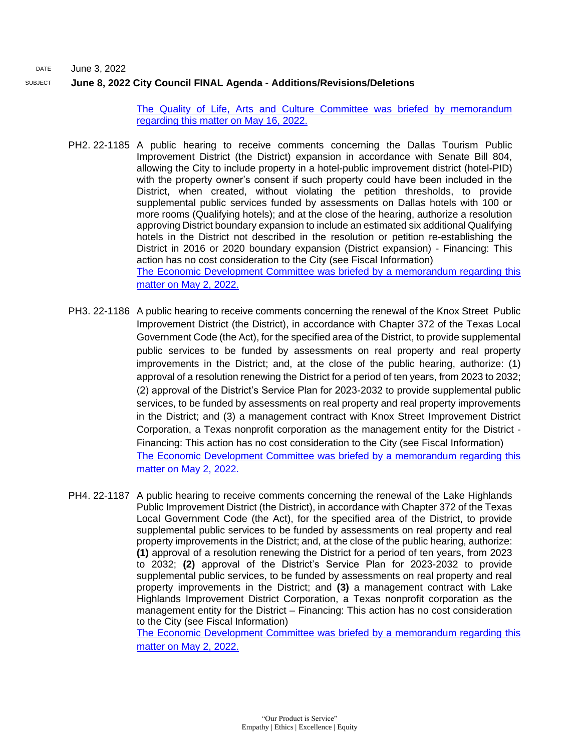DATE June 3, 2022

## SUBJECT **June 8, 2022 City Council FINAL Agenda - Additions/Revisions/Deletions**

[The Quality of Life, Arts and Culture Committee was briefed by memorandum](http://cityofdallas.legistar.com/gateway.aspx?M=F&ID=87889e21-a7d0-4b87-8440-42d0145679f0.pdf)  [regarding this matter on May 16, 2022.](http://cityofdallas.legistar.com/gateway.aspx?M=F&ID=87889e21-a7d0-4b87-8440-42d0145679f0.pdf)

- PH2. 22-1185 A public hearing to receive comments concerning the Dallas Tourism Public Improvement District (the District) expansion in accordance with Senate Bill 804, allowing the City to include property in a hotel-public improvement district (hotel-PID) with the property owner's consent if such property could have been included in the District, when created, without violating the petition thresholds, to provide supplemental public services funded by assessments on Dallas hotels with 100 or more rooms (Qualifying hotels); and at the close of the hearing, authorize a resolution approving District boundary expansion to include an estimated six additional Qualifying hotels in the District not described in the resolution or petition re-establishing the District in 2016 or 2020 boundary expansion (District expansion) - Financing: This action has no cost consideration to the City (see Fiscal Information) [The Economic Development Committee was briefed by a memorandum regarding this](https://cityofdallas.legistar.com/View.ashx?M=F&ID=10858992&GUID=A36B2EAC-599C-4339-8270-4230EE3D5819)  [matter on May 2, 2022.](https://cityofdallas.legistar.com/View.ashx?M=F&ID=10858992&GUID=A36B2EAC-599C-4339-8270-4230EE3D5819)
- PH3. 22-1186 A public hearing to receive comments concerning the renewal of the Knox Street Public Improvement District (the District), in accordance with Chapter 372 of the Texas Local Government Code (the Act), for the specified area of the District, to provide supplemental public services to be funded by assessments on real property and real property improvements in the District; and, at the close of the public hearing, authorize: (1) approval of a resolution renewing the District for a period of ten years, from 2023 to 2032; (2) approval of the District's Service Plan for 2023-2032 to provide supplemental public services, to be funded by assessments on real property and real property improvements in the District; and (3) a management contract with Knox Street Improvement District Corporation, a Texas nonprofit corporation as the management entity for the District - Financing: This action has no cost consideration to the City (see Fiscal Information) [The Economic Development Committee was briefed by a memorandum regarding this](https://cityofdallas.legistar.com/View.ashx?M=F&ID=10858992&GUID=A36B2EAC-599C-4339-8270-4230EE3D5819) [matter on May 2, 2022.](https://cityofdallas.legistar.com/View.ashx?M=F&ID=10858992&GUID=A36B2EAC-599C-4339-8270-4230EE3D5819)
- PH4. 22-1187 A public hearing to receive comments concerning the renewal of the Lake Highlands Public Improvement District (the District), in accordance with Chapter 372 of the Texas Local Government Code (the Act), for the specified area of the District, to provide supplemental public services to be funded by assessments on real property and real property improvements in the District; and, at the close of the public hearing, authorize: **(1)** approval of a resolution renewing the District for a period of ten years, from 2023 to 2032; **(2)** approval of the District's Service Plan for 2023-2032 to provide supplemental public services, to be funded by assessments on real property and real property improvements in the District; and **(3)** a management contract with Lake Highlands Improvement District Corporation, a Texas nonprofit corporation as the management entity for the District – Financing: This action has no cost consideration to the City (see Fiscal Information) [The Economic Development Committee was briefed by a memorandum regarding this](https://cityofdallas.legistar.com/View.ashx?M=F&ID=10858992&GUID=A36B2EAC-599C-4339-8270-4230EE3D5819)

[matter on May 2, 2022.](https://cityofdallas.legistar.com/View.ashx?M=F&ID=10858992&GUID=A36B2EAC-599C-4339-8270-4230EE3D5819)